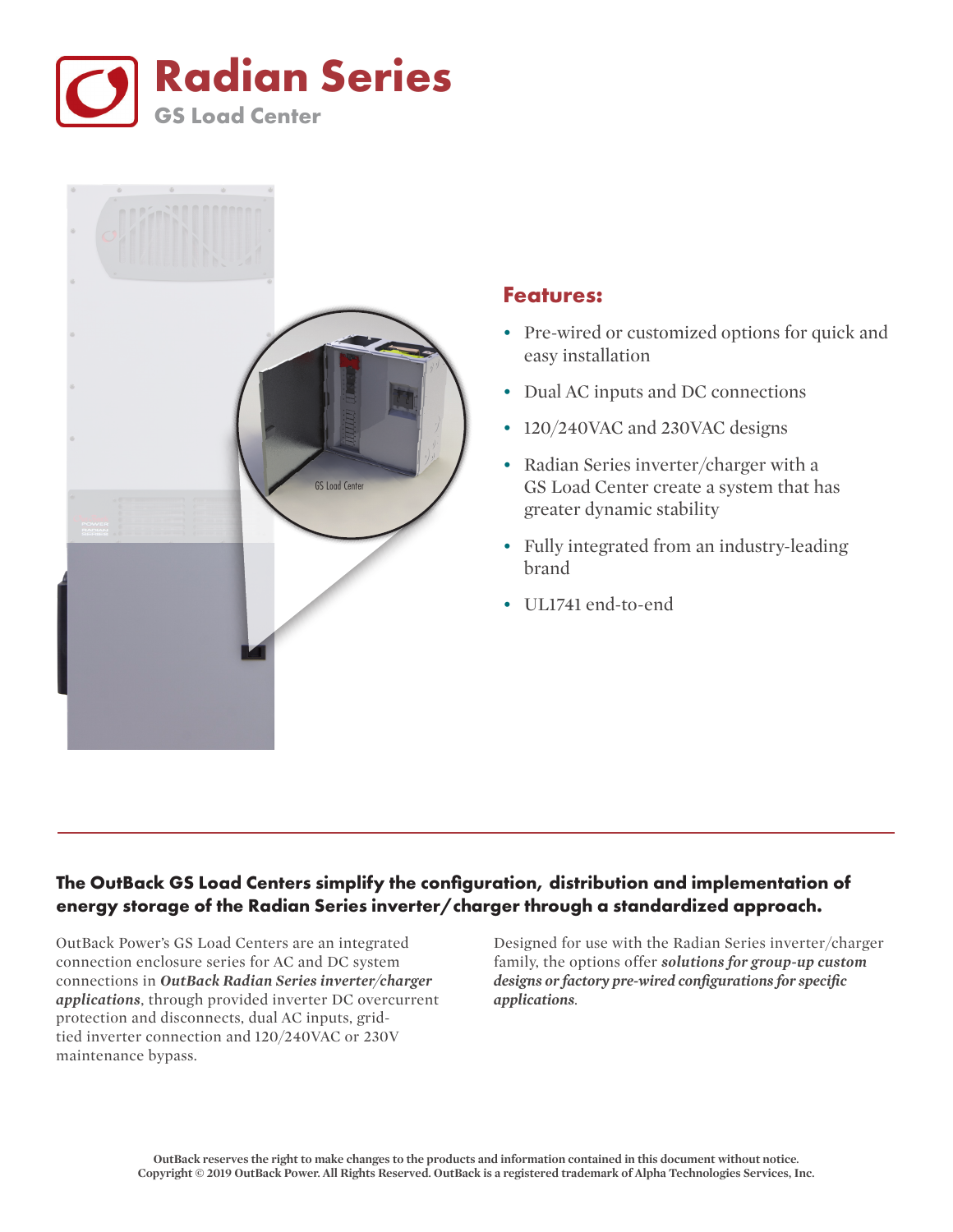



## **Features:**

- Pre-wired or customized options for quick and easy installation
- Dual AC inputs and DC connections
- 120/240VAC and 230VAC designs
- Radian Series inverter/charger with a GS Load Center create a system that has greater dynamic stability
- Fully integrated from an industry-leading brand
- UL1741 end-to-end

## **The OutBack GS Load Centers simplify the configuration, distribution and implementation of energy storage of the Radian Series inverter/charger through a standardized approach.**

OutBack Power's GS Load Centers are an integrated connection enclosure series for AC and DC system connections in *OutBack Radian Series inverter/charger applications*, through provided inverter DC overcurrent protection and disconnects, dual AC inputs, gridtied inverter connection and 120/240VAC or 230V maintenance bypass.

Designed for use with the Radian Series inverter/charger family, the options offer *solutions for group-up custom designs or factory pre-wired configurations for specific applications*.